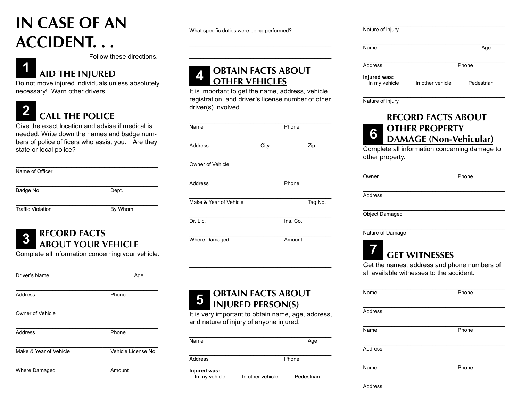## **IN CASE OF AN ACCIDENT. . .**

Follow these directions.

#### **1 AID THE INJURED**

Do not move injured individuals unless absolutely necessary! Warn other drivers.

# **2 CALL THE POLICE**

Give the exact location and advise if medical is needed. Write down the names and badge numbers of police of ficers who assist you. Are they state or local police?

| Name of Officer          |         |
|--------------------------|---------|
| Badge No.                | Dept.   |
| <b>Traffic Violation</b> | By Whom |

# **3 RECORD FACTS ABOUT YOUR VEHICLE**

Complete all information concerning your vehicle.

| Driver's Name          | Age                 |
|------------------------|---------------------|
| <b>Address</b>         | Phone               |
| Owner of Vehicle       |                     |
| Address                | Phone               |
| Make & Year of Vehicle | Vehicle License No. |
| Where Damaged          | Amount              |

\_\_\_\_\_\_\_\_\_\_\_\_\_\_\_\_\_\_\_\_\_\_\_\_\_\_\_\_\_\_\_\_\_\_\_\_\_\_\_\_\_\_\_\_\_\_\_\_\_ What specific duties were being performed?

## **4 OBTAIN FACTS ABOUT OTHER VEHICLES**

It is important to get the name, address, vehicle registration, and driver's license number of other driver(s) involved.

\_\_\_\_\_\_\_\_\_\_\_\_\_\_\_\_\_\_\_\_\_\_\_\_\_\_\_\_\_\_\_\_\_\_\_\_\_\_\_\_\_\_\_\_\_\_\_\_\_ \_\_\_\_\_\_\_\_\_\_\_\_\_\_\_\_\_\_\_\_\_\_\_\_\_\_\_\_\_\_\_\_\_\_\_\_\_\_\_\_\_\_\_\_\_\_\_\_\_\_\_

| Name                   | Phone |          |         |
|------------------------|-------|----------|---------|
| Address                | City  |          | Zip     |
| Owner of Vehicle       |       |          |         |
| <b>Address</b>         |       | Phone    |         |
| Make & Year of Vehicle |       |          | Tag No. |
| Dr. Lic.               |       | Ins. Co. |         |
| Where Damaged          |       | Amount   |         |

# **5 OBTAIN FACTS ABOUT INJURED PERSON(S)**

It is very important to obtain name, age, address, and nature of injury of anyone injured.

\_\_\_\_\_\_\_\_\_\_\_\_\_\_\_\_\_\_\_\_\_\_\_\_\_\_\_\_\_\_\_\_\_\_\_\_\_\_\_\_\_\_\_\_\_\_\_\_\_\_ \_\_\_\_\_\_\_\_\_\_\_\_\_\_\_\_\_\_\_\_\_\_\_\_\_\_\_\_\_\_\_\_\_\_\_\_\_\_\_\_\_\_\_\_\_\_\_\_\_\_ \_\_\_\_\_\_\_\_\_\_\_\_\_\_\_\_\_\_\_\_\_\_\_\_\_\_\_\_\_\_\_\_\_\_\_\_\_\_\_\_\_\_\_\_\_\_\_\_\_\_

| Name          |                  | Age        |
|---------------|------------------|------------|
|               |                  |            |
|               |                  |            |
| Address       |                  | Phone      |
|               |                  |            |
|               |                  |            |
| Injured was:  |                  |            |
| In my vehicle | In other vehicle | Pedestrian |

|                  | Age        |
|------------------|------------|
|                  | Phone      |
| In other vehicle | Pedestrian |
|                  |            |

\_\_\_\_\_\_\_\_\_\_\_\_\_\_\_\_\_\_\_\_\_\_\_\_\_\_\_\_\_\_\_\_\_\_\_\_\_\_\_\_\_\_\_\_\_\_\_\_\_\_\_

Nature of injury

## **RECORD FACTS ABOUT OTHER PROPERTY <sup>6</sup> DAMAGE (Non-Vehicular)**

Complete all information concerning damage to other property.

| Owner            | Phone                                                                                   |
|------------------|-----------------------------------------------------------------------------------------|
| Address          |                                                                                         |
| Object Damaged   |                                                                                         |
| Nature of Damage |                                                                                         |
|                  | <b>GET WITNESSES</b>                                                                    |
|                  | Get the names, address and phone numbers of<br>all available witnesses to the accident. |
| <b>Name</b>      | Phone                                                                                   |
| Address          |                                                                                         |
| <b>Name</b>      | Phone                                                                                   |
|                  |                                                                                         |

**Address** 

\_\_\_\_\_\_\_\_\_\_\_\_\_\_\_\_\_\_\_\_\_\_\_\_\_\_\_\_\_\_\_\_\_\_\_\_\_\_\_\_\_\_\_\_\_\_\_\_\_\_

Name Phone

\_\_\_\_\_\_\_\_\_\_\_\_\_\_\_\_\_\_\_\_\_\_\_\_\_\_\_\_\_\_\_\_\_\_\_\_\_\_\_\_\_\_\_\_\_\_\_\_\_\_\_ Address